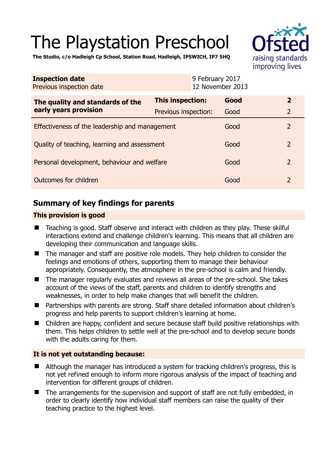# The Playstation Preschool

**The Studio, c/o Hadleigh Cp School, Station Road, Hadleigh, IPSWICH, IP7 5HQ** 



| <b>Inspection date</b><br>Previous inspection date        |                      | 9 February 2017<br>12 November 2013 |                |
|-----------------------------------------------------------|----------------------|-------------------------------------|----------------|
| The quality and standards of the<br>early years provision | This inspection:     | Good                                | $\overline{2}$ |
|                                                           | Previous inspection: | Good                                | $\overline{2}$ |
| Effectiveness of the leadership and management            |                      | Good                                | 2              |
| Quality of teaching, learning and assessment              |                      | Good                                | $\overline{2}$ |
| Personal development, behaviour and welfare               |                      | Good                                | $\overline{2}$ |
| Outcomes for children                                     |                      | Good                                | 2              |

# **Summary of key findings for parents**

# **This provision is good**

- Teaching is good. Staff observe and interact with children as they play. These skilful interactions extend and challenge children's learning. This means that all children are developing their communication and language skills.
- The manager and staff are positive role models. They help children to consider the feelings and emotions of others, supporting them to manage their behaviour appropriately. Consequently, the atmosphere in the pre-school is calm and friendly.
- The manager regularly evaluates and reviews all areas of the pre-school. She takes account of the views of the staff, parents and children to identify strengths and weaknesses, in order to help make changes that will benefit the children.
- Partnerships with parents are strong. Staff share detailed information about children's progress and help parents to support children's learning at home.
- Children are happy, confident and secure because staff build positive relationships with them. This helps children to settle well at the pre-school and to develop secure bonds with the adults caring for them.

# **It is not yet outstanding because:**

- Although the manager has introduced a system for tracking children's progress, this is not yet refined enough to inform more rigorous analysis of the impact of teaching and intervention for different groups of children.
- The arrangements for the supervision and support of staff are not fully embedded, in order to clearly identify how individual staff members can raise the quality of their teaching practice to the highest level.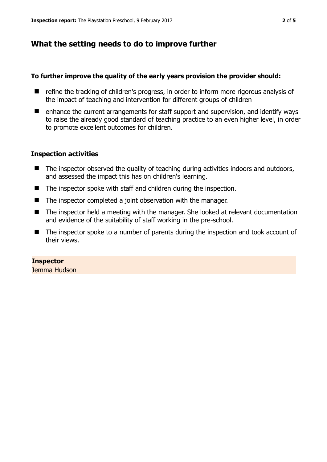# **What the setting needs to do to improve further**

## **To further improve the quality of the early years provision the provider should:**

- refine the tracking of children's progress, in order to inform more rigorous analysis of the impact of teaching and intervention for different groups of children
- $\blacksquare$  enhance the current arrangements for staff support and supervision, and identify ways to raise the already good standard of teaching practice to an even higher level, in order to promote excellent outcomes for children.

### **Inspection activities**

- The inspector observed the quality of teaching during activities indoors and outdoors, and assessed the impact this has on children's learning.
- The inspector spoke with staff and children during the inspection.
- The inspector completed a joint observation with the manager.
- The inspector held a meeting with the manager. She looked at relevant documentation and evidence of the suitability of staff working in the pre-school.
- The inspector spoke to a number of parents during the inspection and took account of their views.

#### **Inspector**  Jemma Hudson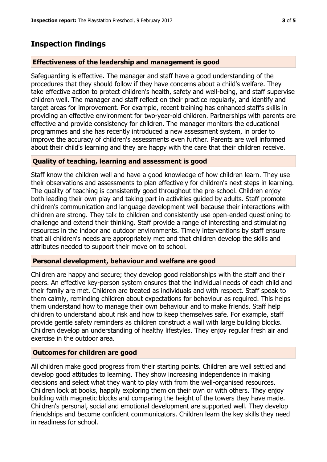# **Inspection findings**

## **Effectiveness of the leadership and management is good**

Safeguarding is effective. The manager and staff have a good understanding of the procedures that they should follow if they have concerns about a child's welfare. They take effective action to protect children's health, safety and well-being, and staff supervise children well. The manager and staff reflect on their practice regularly, and identify and target areas for improvement. For example, recent training has enhanced staff's skills in providing an effective environment for two-year-old children. Partnerships with parents are effective and provide consistency for children. The manager monitors the educational programmes and she has recently introduced a new assessment system, in order to improve the accuracy of children's assessments even further. Parents are well informed about their child's learning and they are happy with the care that their children receive.

## **Quality of teaching, learning and assessment is good**

Staff know the children well and have a good knowledge of how children learn. They use their observations and assessments to plan effectively for children's next steps in learning. The quality of teaching is consistently good throughout the pre-school. Children enjoy both leading their own play and taking part in activities guided by adults. Staff promote children's communication and language development well because their interactions with children are strong. They talk to children and consistently use open-ended questioning to challenge and extend their thinking. Staff provide a range of interesting and stimulating resources in the indoor and outdoor environments. Timely interventions by staff ensure that all children's needs are appropriately met and that children develop the skills and attributes needed to support their move on to school.

## **Personal development, behaviour and welfare are good**

Children are happy and secure; they develop good relationships with the staff and their peers. An effective key-person system ensures that the individual needs of each child and their family are met. Children are treated as individuals and with respect. Staff speak to them calmly, reminding children about expectations for behaviour as required. This helps them understand how to manage their own behaviour and to make friends. Staff help children to understand about risk and how to keep themselves safe. For example, staff provide gentle safety reminders as children construct a wall with large building blocks. Children develop an understanding of healthy lifestyles. They enjoy regular fresh air and exercise in the outdoor area.

# **Outcomes for children are good**

All children make good progress from their starting points. Children are well settled and develop good attitudes to learning. They show increasing independence in making decisions and select what they want to play with from the well-organised resources. Children look at books, happily exploring them on their own or with others. They enjoy building with magnetic blocks and comparing the height of the towers they have made. Children's personal, social and emotional development are supported well. They develop friendships and become confident communicators. Children learn the key skills they need in readiness for school.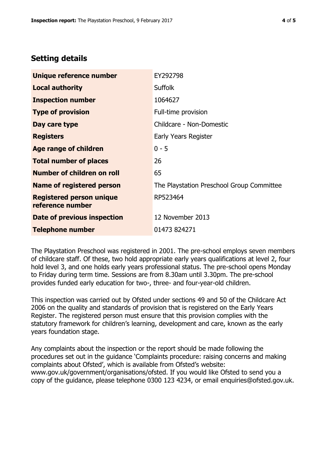# **Setting details**

| Unique reference number                             | EY292798                                  |  |
|-----------------------------------------------------|-------------------------------------------|--|
| <b>Local authority</b>                              | <b>Suffolk</b>                            |  |
| <b>Inspection number</b>                            | 1064627                                   |  |
| <b>Type of provision</b>                            | Full-time provision                       |  |
| Day care type                                       | Childcare - Non-Domestic                  |  |
| <b>Registers</b>                                    | Early Years Register                      |  |
| Age range of children                               | $0 - 5$                                   |  |
| <b>Total number of places</b>                       | 26                                        |  |
| <b>Number of children on roll</b>                   | 65                                        |  |
| <b>Name of registered person</b>                    | The Playstation Preschool Group Committee |  |
| <b>Registered person unique</b><br>reference number | RP523464                                  |  |
| Date of previous inspection                         | 12 November 2013                          |  |
| <b>Telephone number</b>                             | 01473 824271                              |  |

The Playstation Preschool was registered in 2001. The pre-school employs seven members of childcare staff. Of these, two hold appropriate early years qualifications at level 2, four hold level 3, and one holds early years professional status. The pre-school opens Monday to Friday during term time. Sessions are from 8.30am until 3.30pm. The pre-school provides funded early education for two-, three- and four-year-old children.

This inspection was carried out by Ofsted under sections 49 and 50 of the Childcare Act 2006 on the quality and standards of provision that is registered on the Early Years Register. The registered person must ensure that this provision complies with the statutory framework for children's learning, development and care, known as the early years foundation stage.

Any complaints about the inspection or the report should be made following the procedures set out in the guidance 'Complaints procedure: raising concerns and making complaints about Ofsted', which is available from Ofsted's website: www.gov.uk/government/organisations/ofsted. If you would like Ofsted to send you a copy of the guidance, please telephone 0300 123 4234, or email enquiries@ofsted.gov.uk.